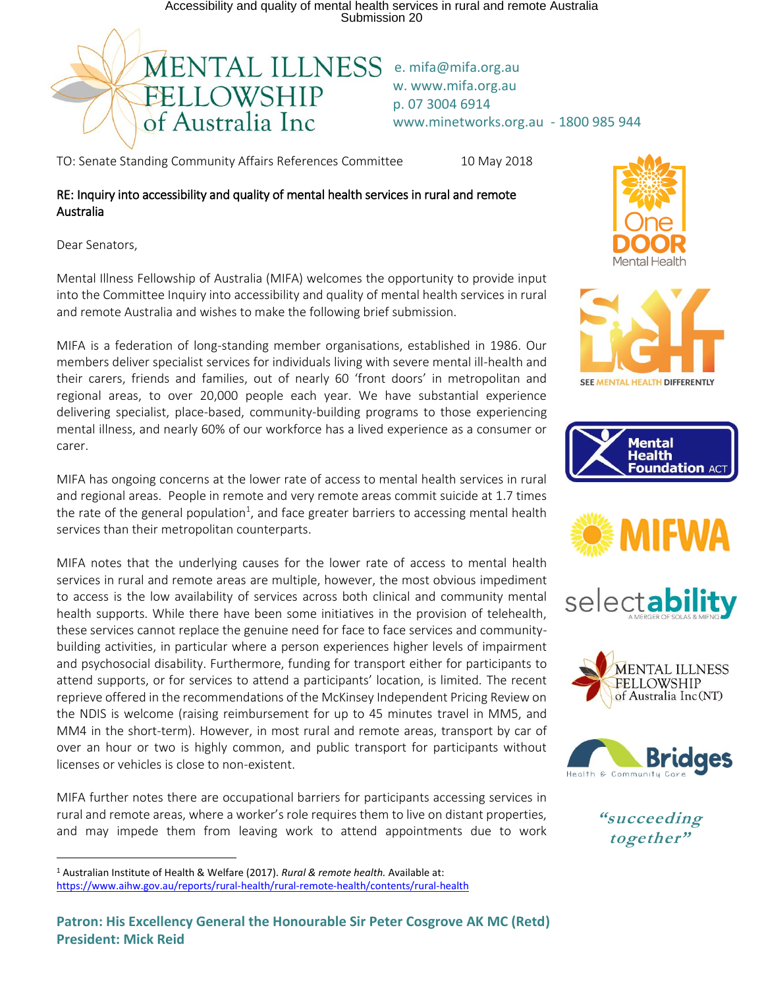Accessibility and quality of mental health services in rural and remote Australia Submission 20



w. www.mifa.org.au p. 07 3004 6914 www.minetworks.org.au - 1800 985 944

TO: Senate Standing Community Affairs References Committee 10 May 2018

## RE: Inquiry into accessibility and quality of mental health services in rural and remote Australia

Dear Senators,

l

Mental Illness Fellowship of Australia (MIFA) welcomes the opportunity to provide input into the Committee Inquiry into accessibility and quality of mental health services in rural and remote Australia and wishes to make the following brief submission.

MIFA is a federation of long-standing member organisations, established in 1986. Our members deliver specialist services for individuals living with severe mental ill-health and their carers, friends and families, out of nearly 60 'front doors' in metropolitan and regional areas, to over 20,000 people each year. We have substantial experience delivering specialist, place-based, community-building programs to those experiencing mental illness, and nearly 60% of our workforce has a lived experience as a consumer or carer.

MIFA has ongoing concerns at the lower rate of access to mental health services in rural and regional areas. People in remote and very remote areas commit suicide at 1.7 times the rate of the general population<sup>1</sup>, and face greater barriers to accessing mental health services than their metropolitan counterparts.

MIFA notes that the underlying causes for the lower rate of access to mental health services in rural and remote areas are multiple, however, the most obvious impediment to access is the low availability of services across both clinical and community mental health supports. While there have been some initiatives in the provision of telehealth, these services cannot replace the genuine need for face to face services and communitybuilding activities, in particular where a person experiences higher levels of impairment and psychosocial disability. Furthermore, funding for transport either for participants to attend supports, or for services to attend a participants' location, is limited. The recent reprieve offered in the recommendations of the McKinsey Independent Pricing Review on the NDIS is welcome (raising reimbursement for up to 45 minutes travel in MM5, and MM4 in the short-term). However, in most rural and remote areas, transport by car of over an hour or two is highly common, and public transport for participants without licenses or vehicles is close to non-existent.

MIFA further notes there are occupational barriers for participants accessing services in rural and remote areas, where a worker's role requires them to live on distant properties, and may impede them from leaving work to attend appointments due to work















**"succeeding together"**

<sup>1</sup> Australian Institute of Health & Welfare (2017). *Rural & remote health.* Available at: <https://www.aihw.gov.au/reports/rural-health/rural-remote-health/contents/rural-health>